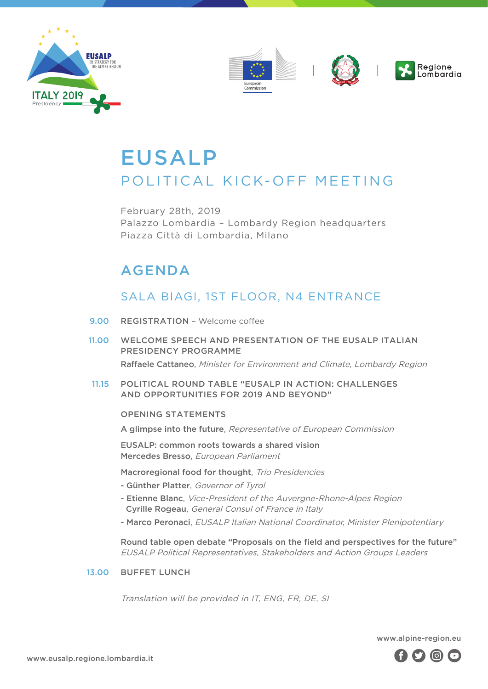



# EUSALP POLITICAL KICK-OFF MEETING

February 28th, 2019 Palazzo Lombardia – Lombardy Region headquarters Piazza Città di Lombardia, Milano

## AGENDA

### SALA BIAGI, 1ST FLOOR, N4 ENTRANCE

- REGISTRATION Welcome coffee 9.00
- WELCOME SPEECH AND PRESENTATION OF THE FUSALP ITALIAN PRESIDENCY PROGRAMME Raffaele Cattaneo, Minister for Environment and Climate, Lombardy Region 11.00
- POLITICAL ROUND TABLE "EUSALP IN ACTION: CHALLENGES AND OPPORTUNITIES FOR 2019 AND BEYOND" 11.15

#### OPENING STATEMENTS

A glimpse into the future, Representative of European Commission

EUSALP: common roots towards a shared vision Mercedes Bresso, European Parliament

- Macroregional food for thought, Trio Presidencies
- Günther Platter, Governor of Tyrol
- Etienne Blanc, Vice-President of the Auvergne-Rhone-Alpes Region Cyrille Rogeau, General Consul of France in Italy
- Marco Peronaci, EUSALP Italian National Coordinator, Minister Plenipotentiary

Round table open debate "Proposals on the field and perspectives for the future" EUSALP Political Representatives, Stakeholders and Action Groups Leaders

BUFFET LUNCH 13.00

Translation will be provided in IT, ENG, FR, DE, SI

www.alpine-region.eu